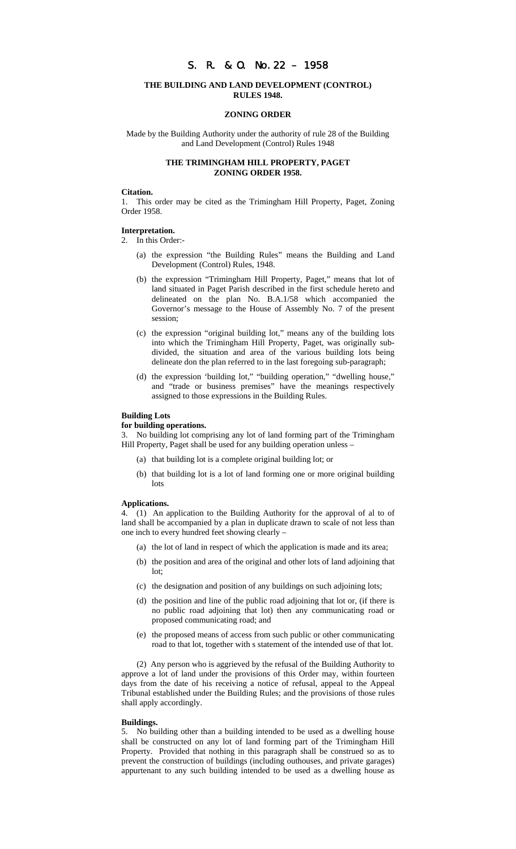# S. R. & O. No.22 – 1958

# **THE BUILDING AND LAND DEVELOPMENT (CONTROL) RULES 1948.**

### **ZONING ORDER**

Made by the Building Authority under the authority of rule 28 of the Building and Land Development (Control) Rules 1948

### **THE TRIMINGHAM HILL PROPERTY, PAGET ZONING ORDER 1958.**

#### **Citation.**

1. This order may be cited as the Trimingham Hill Property, Paget, Zoning Order 1958.

#### **Interpretation.**

2. In this Order:-

- (a) the expression "the Building Rules" means the Building and Land Development (Control) Rules, 1948.
- (b) the expression "Trimingham Hill Property, Paget," means that lot of land situated in Paget Parish described in the first schedule hereto and delineated on the plan No. B.A.1/58 which accompanied the Governor's message to the House of Assembly No. 7 of the present session;
- (c) the expression "original building lot," means any of the building lots into which the Trimingham Hill Property, Paget, was originally subdivided, the situation and area of the various building lots being delineate don the plan referred to in the last foregoing sub-paragraph;
- (d) the expression 'building lot," "building operation," "dwelling house," and "trade or business premises" have the meanings respectively assigned to those expressions in the Building Rules.

#### **Building Lots**

#### **for building operations.**

3. No building lot comprising any lot of land forming part of the Trimingham Hill Property, Paget shall be used for any building operation unless –

- (a) that building lot is a complete original building lot; or
- (b) that building lot is a lot of land forming one or more original building lots

## **Applications.**

4. (1) An application to the Building Authority for the approval of al to of land shall be accompanied by a plan in duplicate drawn to scale of not less than one inch to every hundred feet showing clearly –

- (a) the lot of land in respect of which the application is made and its area;
- (b) the position and area of the original and other lots of land adjoining that lot;
- (c) the designation and position of any buildings on such adjoining lots;
- (d) the position and line of the public road adjoining that lot or, (if there is no public road adjoining that lot) then any communicating road or proposed communicating road; and
- (e) the proposed means of access from such public or other communicating road to that lot, together with s statement of the intended use of that lot.

(2) Any person who is aggrieved by the refusal of the Building Authority to approve a lot of land under the provisions of this Order may, within fourteen days from the date of his receiving a notice of refusal, appeal to the Appeal Tribunal established under the Building Rules; and the provisions of those rules shall apply accordingly.

#### **Buildings.**

5. No building other than a building intended to be used as a dwelling house shall be constructed on any lot of land forming part of the Trimingham Hill Property. Provided that nothing in this paragraph shall be construed so as to prevent the construction of buildings (including outhouses, and private garages) appurtenant to any such building intended to be used as a dwelling house as